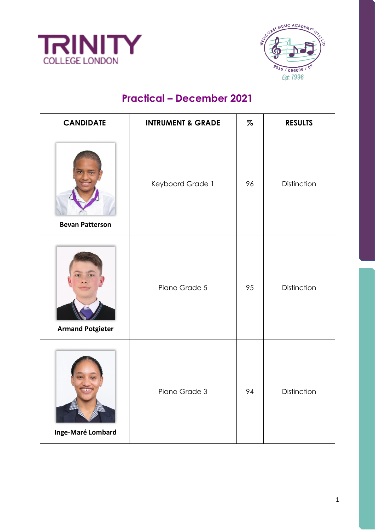



## **Practical – December 2021**

| <b>CANDIDATE</b>        | <b>INTRUMENT &amp; GRADE</b> | $\%$ | <b>RESULTS</b> |
|-------------------------|------------------------------|------|----------------|
| <b>Bevan Patterson</b>  | Keyboard Grade 1             | 96   | Distinction    |
| <b>Armand Potgieter</b> | Piano Grade 5                | 95   | Distinction    |
| Inge-Maré Lombard       | Piano Grade 3                | 94   | Distinction    |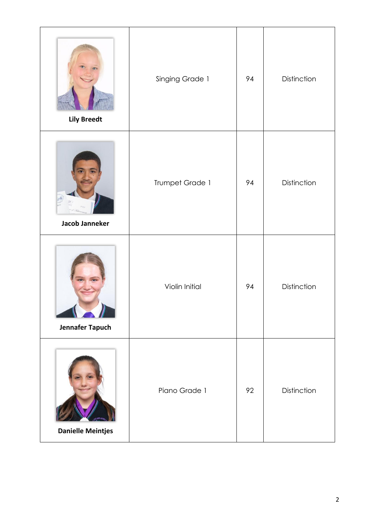| <b>Lily Breedt</b>       | Singing Grade 1 | 94 | Distinction |
|--------------------------|-----------------|----|-------------|
| Jacob Janneker           | Trumpet Grade 1 | 94 | Distinction |
| Jennafer Tapuch          | Violin Initial  | 94 | Distinction |
| <b>Danielle Meintjes</b> | Piano Grade 1   | 92 | Distinction |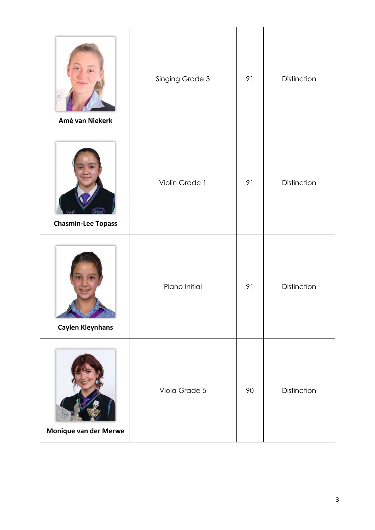| Amé van Niekerk              | Singing Grade 3 | 91 | Distinction |
|------------------------------|-----------------|----|-------------|
| <b>Chasmin-Lee Topass</b>    | Violin Grade 1  | 91 | Distinction |
| <b>Caylen Kleynhans</b>      | Piano Initial   | 91 | Distinction |
| <b>Monique van der Merwe</b> | Viola Grade 5   | 90 | Distinction |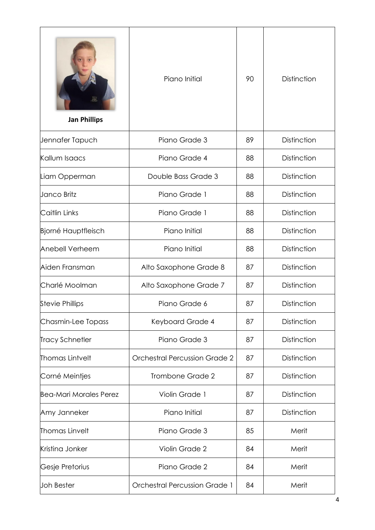| <b>Jan Phillips</b>           | Piano Initial                        | 90 | <b>Distinction</b> |
|-------------------------------|--------------------------------------|----|--------------------|
| Jennafer Tapuch               | Piano Grade 3                        | 89 | Distinction        |
| Kallum Isaacs                 | Piano Grade 4                        | 88 | Distinction        |
| Liam Opperman                 | Double Bass Grade 3                  | 88 | Distinction        |
| Janco Britz                   | Piano Grade 1                        | 88 | Distinction        |
| Caitlin Links                 | Piano Grade 1                        | 88 | Distinction        |
| <b>Bjorné Hauptfleisch</b>    | Piano Initial                        | 88 | Distinction        |
| Anebell Verheem               | Piano Initial                        | 88 | Distinction        |
| Aiden Fransman                | Alto Saxophone Grade 8               | 87 | Distinction        |
| Charlé Moolman                | Alto Saxophone Grade 7               | 87 | Distinction        |
| <b>Stevie Phillips</b>        | Piano Grade 6                        | 87 | Distinction        |
| Chasmin-Lee Topass            | Keyboard Grade 4                     | 87 | Distinction        |
| <b>Tracy Schnetler</b>        | Piano Grade 3                        | 87 | Distinction        |
| Thomas Lintvelt               | <b>Orchestral Percussion Grade 2</b> | 87 | Distinction        |
| Corné Meintjes                | Trombone Grade 2                     | 87 | Distinction        |
| <b>Bea-Mari Morales Perez</b> | Violin Grade 1                       | 87 | Distinction        |
| Amy Janneker                  | Piano Initial                        | 87 | Distinction        |
| Thomas Linvelt                | Piano Grade 3                        | 85 | Merit              |
| Kristina Jonker               | Violin Grade 2                       | 84 | Merit              |
| Gesje Pretorius               | Piano Grade 2                        | 84 | Merit              |
| Joh Bester                    | <b>Orchestral Percussion Grade 1</b> | 84 | Merit              |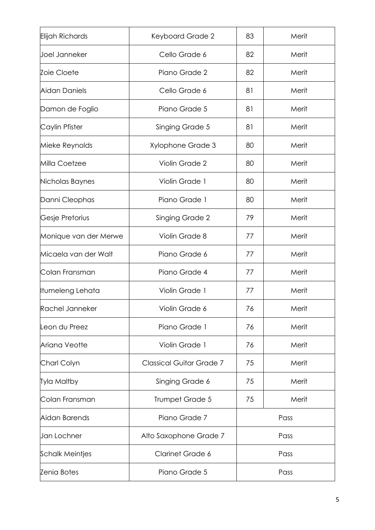| Keyboard Grade 2                | 83   | Merit |
|---------------------------------|------|-------|
| Cello Grade 6                   | 82   | Merit |
| Piano Grade 2                   | 82   | Merit |
| Cello Grade 6                   | 81   | Merit |
| Piano Grade 5                   | 81   | Merit |
| Singing Grade 5                 | 81   | Merit |
| Xylophone Grade 3               | 80   | Merit |
| Violin Grade 2                  | 80   | Merit |
| Violin Grade 1                  | 80   | Merit |
| Piano Grade 1                   | 80   | Merit |
| <b>Singing Grade 2</b>          | 79   | Merit |
| Violin Grade 8                  | 77   | Merit |
| Piano Grade 6                   | 77   | Merit |
| Piano Grade 4                   | 77   | Merit |
| Violin Grade 1                  | 77   | Merit |
| Violin Grade 6                  | 76   | Merit |
| Piano Grade 1                   | 76   | Merit |
| Violin Grade 1                  | 76   | Merit |
| <b>Classical Guitar Grade 7</b> | 75   | Merit |
| Singing Grade 6                 | 75   | Merit |
| Trumpet Grade 5                 | 75   | Merit |
| Piano Grade 7                   |      | Pass  |
| Alto Saxophone Grade 7          |      | Pass  |
| <b>Clarinet Grade 6</b>         |      | Pass  |
| Piano Grade 5                   | Pass |       |
|                                 |      |       |